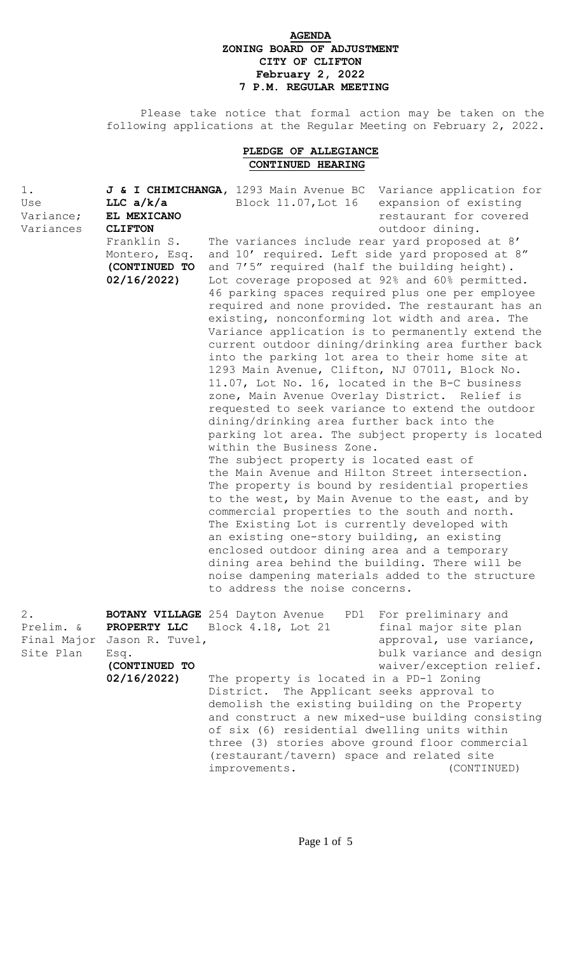## **AGENDA ZONING BOARD OF ADJUSTMENT CITY OF CLIFTON February 2, 2022 7 P.M. REGULAR MEETING**

 Please take notice that formal action may be taken on the following applications at the Regular Meeting on February 2, 2022.

## **PLEDGE OF ALLEGIANCE CONTINUED HEARING**

| $1$ .<br>Use<br>Variance;<br>Variances         | LLC $a/k/a$<br>EL MEXICANO<br><b>CLIFTON</b><br>Franklin S.<br>Montero, Esq.<br>(CONTINUED TO<br>02/16/2022 | J & I CHIMICHANGA, 1293 Main Avenue BC<br>Block 11.07, Lot 16<br>The variances include rear yard proposed at 8'<br>and 10' required. Left side yard proposed at 8"<br>and 7'5" required (half the building height).<br>Lot coverage proposed at 92% and 60% permitted.<br>46 parking spaces required plus one per employee<br>existing, nonconforming lot width and area. The<br>into the parking lot area to their home site at<br>1293 Main Avenue, Clifton, NJ 07011, Block No.<br>11.07, Lot No. 16, located in the B-C business<br>zone, Main Avenue Overlay District. Relief is<br>requested to seek variance to extend the outdoor<br>dining/drinking area further back into the<br>within the Business Zone.<br>The subject property is located east of<br>the Main Avenue and Hilton Street intersection.<br>The property is bound by residential properties<br>to the west, by Main Avenue to the east, and by<br>commercial properties to the south and north.<br>The Existing Lot is currently developed with<br>an existing one-story building, an existing<br>enclosed outdoor dining area and a temporary<br>dining area behind the building. There will be<br>noise dampening materials added to the structure<br>to address the noise concerns. | Variance application for<br>expansion of existing<br>restaurant for covered<br>outdoor dining.<br>required and none provided. The restaurant has an<br>Variance application is to permanently extend the<br>current outdoor dining/drinking area further back<br>parking lot area. The subject property is located |
|------------------------------------------------|-------------------------------------------------------------------------------------------------------------|------------------------------------------------------------------------------------------------------------------------------------------------------------------------------------------------------------------------------------------------------------------------------------------------------------------------------------------------------------------------------------------------------------------------------------------------------------------------------------------------------------------------------------------------------------------------------------------------------------------------------------------------------------------------------------------------------------------------------------------------------------------------------------------------------------------------------------------------------------------------------------------------------------------------------------------------------------------------------------------------------------------------------------------------------------------------------------------------------------------------------------------------------------------------------------------------------------------------------------------------------------------|--------------------------------------------------------------------------------------------------------------------------------------------------------------------------------------------------------------------------------------------------------------------------------------------------------------------|
| $2$ .<br>Prelim. &<br>Final Major<br>Site Plan | PROPERTY LLC<br>Jason R. Tuvel,<br>Esq.<br>(CONTINUED TO<br>02/16/2022)                                     | <b>BOTANY VILLAGE</b> 254 Dayton Avenue<br>PD1<br>Block 4.18, Lot 21<br>The property is located in a PD-1 Zoning<br>District. The Applicant seeks approval to<br>demolish the existing building on the Property<br>of six (6) residential dwelling units within<br>three (3) stories above ground floor commercial<br>(restaurant/tavern) space and related site<br>improvements.                                                                                                                                                                                                                                                                                                                                                                                                                                                                                                                                                                                                                                                                                                                                                                                                                                                                                | For preliminary and<br>final major site plan<br>approval, use variance,<br>bulk variance and design<br>waiver/exception relief.<br>and construct a new mixed-use building consisting<br>(CONTINUED)                                                                                                                |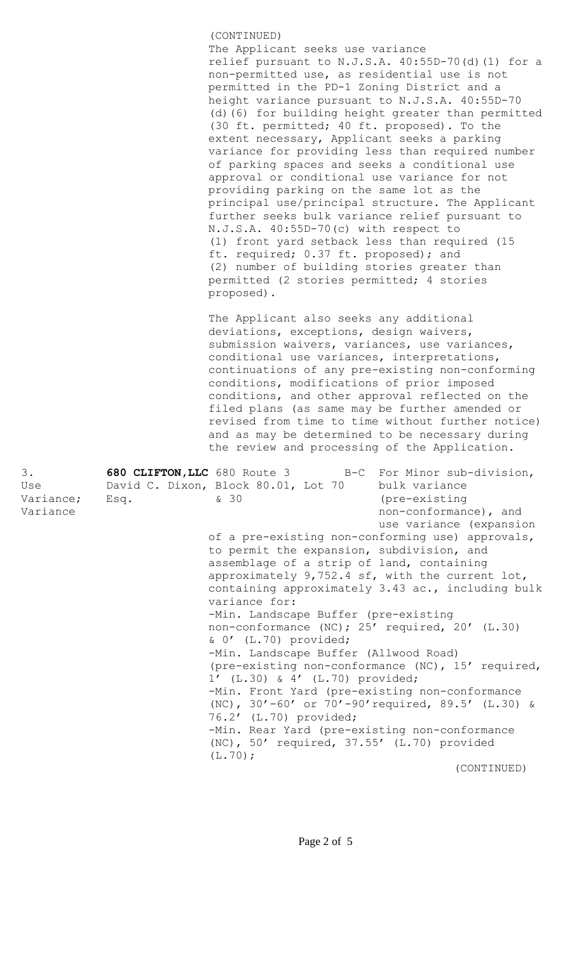(CONTINUED) The Applicant seeks use variance relief pursuant to N.J.S.A. 40:55D-70(d)(1) for a non-permitted use, as residential use is not permitted in the PD-1 Zoning District and a height variance pursuant to N.J.S.A. 40:55D-70 (d)(6) for building height greater than permitted (30 ft. permitted; 40 ft. proposed). To the extent necessary, Applicant seeks a parking variance for providing less than required number of parking spaces and seeks a conditional use approval or conditional use variance for not providing parking on the same lot as the principal use/principal structure. The Applicant further seeks bulk variance relief pursuant to N.J.S.A. 40:55D-70(c) with respect to (1) front yard setback less than required (15 ft. required; 0.37 ft. proposed); and (2) number of building stories greater than permitted (2 stories permitted; 4 stories proposed).

The Applicant also seeks any additional deviations, exceptions, design waivers, submission waivers, variances, use variances, conditional use variances, interpretations, continuations of any pre-existing non-conforming conditions, modifications of prior imposed conditions, and other approval reflected on the filed plans (as same may be further amended or revised from time to time without further notice) and as may be determined to be necessary during the review and processing of the Application.

| 3.        | 680 CLIFTON, LLC 680 Route 3 B-C For Minor sub-division, |
|-----------|----------------------------------------------------------|
| Use       | David C. Dixon, Block 80.01, Lot 70 bulk variance        |
| Variance; | & 30<br>(pre-existing)<br>Esq.                           |
| Variance  | non-conformance), and                                    |
|           | use variance (expansion                                  |
|           | of a pre-existing non-conforming use) approvals,         |
|           | to permit the expansion, subdivision, and                |
|           | assemblage of a strip of land, containing                |
|           | approximately 9,752.4 sf, with the current lot,          |
|           | containing approximately 3.43 ac., including bulk        |
|           | variance for:                                            |
|           | -Min. Landscape Buffer (pre-existing                     |
|           | non-conformance (NC); 25' required, 20' (L.30)           |
|           | $& 0'$ (L.70) provided;                                  |
|           | -Min. Landscape Buffer (Allwood Road)                    |
|           | (pre-existing non-conformance (NC), 15' required,        |
|           | 1' (L.30) & 4' (L.70) provided;                          |
|           | -Min. Front Yard (pre-existing non-conformance           |
|           | (NC), 30'-60' or 70'-90' required, 89.5' (L.30) &        |
|           | 76.2' (L.70) provided;                                   |
|           | -Min. Rear Yard (pre-existing non-conformance            |
|           | (NC), 50' required, 37.55' (L.70) provided               |
|           | $(L.70)$ ;                                               |
|           | (CONTINUED)                                              |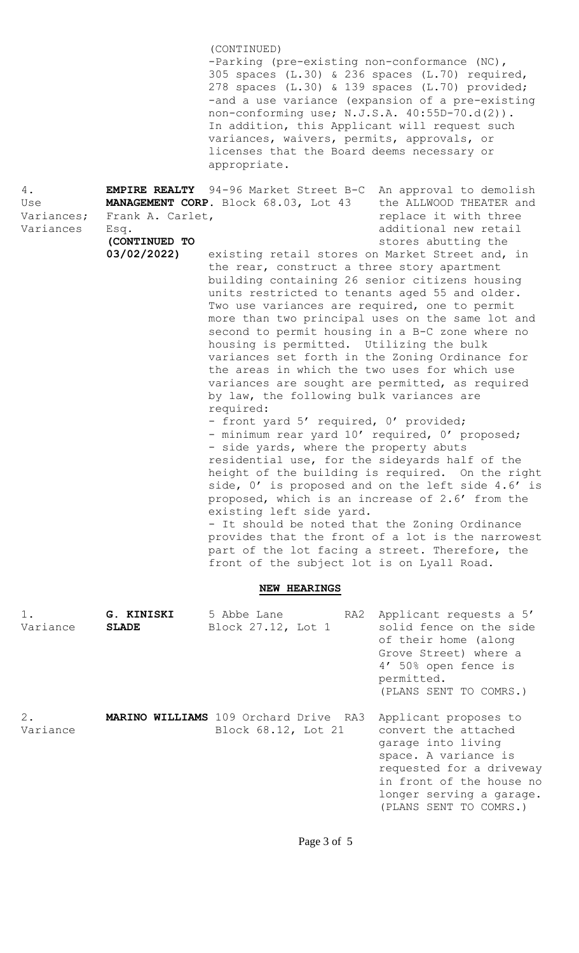|                                      |                                                          | (CONTINUED)<br>-Parking (pre-existing non-conformance (NC),<br>305 spaces (L.30) & 236 spaces (L.70) required,<br>278 spaces (L.30) & 139 spaces (L.70) provided;<br>-and a use variance (expansion of a pre-existing<br>non-conforming use; N.J.S.A. 40:55D-70.d(2)).<br>In addition, this Applicant will request such<br>variances, waivers, permits, approvals, or<br>licenses that the Board deems necessary or<br>appropriate.                                                                                                                                                                                                                                                                                                                                                                                                                                                                                                                                                                                                                                                                                                      |                                                                                                                                                                                                                                                                                           |
|--------------------------------------|----------------------------------------------------------|------------------------------------------------------------------------------------------------------------------------------------------------------------------------------------------------------------------------------------------------------------------------------------------------------------------------------------------------------------------------------------------------------------------------------------------------------------------------------------------------------------------------------------------------------------------------------------------------------------------------------------------------------------------------------------------------------------------------------------------------------------------------------------------------------------------------------------------------------------------------------------------------------------------------------------------------------------------------------------------------------------------------------------------------------------------------------------------------------------------------------------------|-------------------------------------------------------------------------------------------------------------------------------------------------------------------------------------------------------------------------------------------------------------------------------------------|
| 4.<br>Use<br>Variances;<br>Variances | Frank A. Carlet,<br>Esq.<br>(CONTINUED TO<br>03/02/2022) | <b>EMPIRE REALTY</b> 94-96 Market Street B-C<br>MANAGEMENT CORP. Block 68.03, Lot 43<br>existing retail stores on Market Street and, in<br>the rear, construct a three story apartment<br>building containing 26 senior citizens housing<br>units restricted to tenants aged 55 and older.<br>Two use variances are required, one to permit<br>more than two principal uses on the same lot and<br>second to permit housing in a B-C zone where no<br>housing is permitted. Utilizing the bulk<br>variances set forth in the Zoning Ordinance for<br>the areas in which the two uses for which use<br>variances are sought are permitted, as required<br>by law, the following bulk variances are<br>required:<br>- front yard 5' required, 0' provided;<br>- minimum rear yard 10' required, 0' proposed;<br>- side yards, where the property abuts<br>residential use, for the sideyards half of the<br>proposed, which is an increase of 2.6' from the<br>existing left side yard.<br>- It should be noted that the Zoning Ordinance<br>part of the lot facing a street. Therefore, the<br>front of the subject lot is on Lyall Road. | An approval to demolish<br>the ALLWOOD THEATER and<br>replace it with three<br>additional new retail<br>stores abutting the<br>height of the building is required. On the right<br>side, 0' is proposed and on the left side 4.6' is<br>provides that the front of a lot is the narrowest |
|                                      |                                                          | <b>NEW HEARINGS</b>                                                                                                                                                                                                                                                                                                                                                                                                                                                                                                                                                                                                                                                                                                                                                                                                                                                                                                                                                                                                                                                                                                                      |                                                                                                                                                                                                                                                                                           |
| 1.<br>Variance                       | G. KINISKI<br><b>SLADE</b>                               | 5 Abbe Lane<br>RA2<br>Block 27.12, Lot 1                                                                                                                                                                                                                                                                                                                                                                                                                                                                                                                                                                                                                                                                                                                                                                                                                                                                                                                                                                                                                                                                                                 | Applicant requests a 5'<br>solid fence on the side<br>of their home (along<br>Grove Street) where a<br>4' 50% open fence is<br>permitted.<br>(PLANS SENT TO COMRS.)                                                                                                                       |
| $2$ .<br>Variance                    |                                                          | <b>MARINO WILLIAMS</b> 109 Orchard Drive RA3<br>Block 68.12, Lot 21                                                                                                                                                                                                                                                                                                                                                                                                                                                                                                                                                                                                                                                                                                                                                                                                                                                                                                                                                                                                                                                                      | Applicant proposes to<br>convert the attached<br>garage into living<br>space. A variance is<br>requested for a driveway<br>in front of the house no<br>longer serving a garage.<br>(PLANS SENT TO COMRS.)                                                                                 |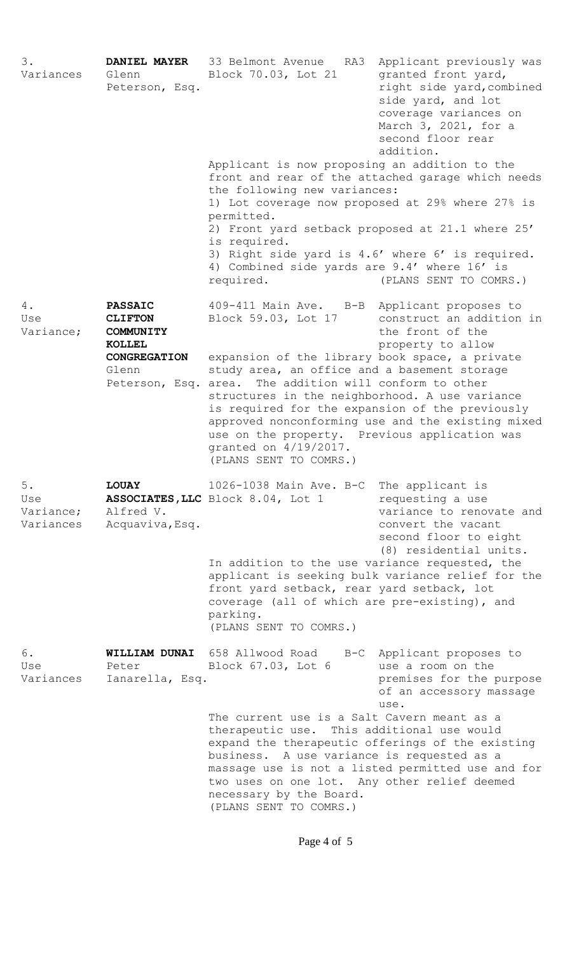| 3.<br>Variances                       | Glenn<br>Peterson, Esq.                                                                                                | DANIEL MAYER 33 Belmont Avenue<br>Block 70.03, Lot 21<br>Applicant is now proposing an addition to the<br>front and rear of the attached garage which needs<br>the following new variances:<br>1) Lot coverage now proposed at 29% where 27% is<br>permitted.<br>2) Front yard setback proposed at 21.1 where 25'<br>is required.<br>3) Right side yard is 4.6' where 6' is required.<br>4) Combined side yards are 9.4' where 16' is<br>required. | RA3 Applicant previously was<br>granted front yard,<br>right side yard, combined<br>side yard, and lot<br>coverage variances on<br>March 3, 2021, for a<br>second floor rear<br>addition.<br>(PLANS SENT TO COMRS.) |
|---------------------------------------|------------------------------------------------------------------------------------------------------------------------|----------------------------------------------------------------------------------------------------------------------------------------------------------------------------------------------------------------------------------------------------------------------------------------------------------------------------------------------------------------------------------------------------------------------------------------------------|---------------------------------------------------------------------------------------------------------------------------------------------------------------------------------------------------------------------|
| 4.<br>Use<br>Variance;                | <b>PASSAIC</b><br><b>CLIFTON</b><br><b>COMMUNITY</b><br><b>KOLLEL</b><br>CONGREGATION<br>Glenn<br>Peterson, Esq. area. | 409-411 Main Ave. B-B Applicant proposes to<br>Block 59.03, Lot 17<br>expansion of the library book space, a private<br>study area, an office and a basement storage<br>The addition will conform to other<br>structures in the neighborhood. A use variance<br>is required for the expansion of the previously<br>use on the property. Previous application was<br>granted on 4/19/2017.<br>(PLANS SENT TO COMRS.)                                | construct an addition in<br>the front of the<br>property to allow<br>approved nonconforming use and the existing mixed                                                                                              |
| $5.$<br>Use<br>Variance;<br>Variances | <b>LOUAY</b><br>Alfred V.<br>Acquaviva, Esq.                                                                           | 1026-1038 Main Ave. B-C The applicant is<br>ASSOCIATES, LLC Block 8.04, Lot 1<br>In addition to the use variance requested, the<br>front yard setback, rear yard setback, lot<br>coverage (all of which are pre-existing), and<br>parking.<br>(PLANS SENT TO COMRS.)                                                                                                                                                                               | requesting a use<br>variance to renovate and<br>convert the vacant<br>second floor to eight<br>(8) residential units.<br>applicant is seeking bulk variance relief for the                                          |
| 6.<br>Use<br>Variances                | Peter<br>Ianarella, Esq.                                                                                               | WILLIAM DUNAI 658 Allwood Road B-C Applicant proposes to<br>Block 67.03, Lot 6<br>The current use is a Salt Cavern meant as a<br>therapeutic use. This additional use would<br>expand the therapeutic offerings of the existing<br>business. A use variance is requested as a<br>massage use is not a listed permitted use and for<br>two uses on one lot. Any other relief deemed<br>necessary by the Board.<br>(PLANS SENT TO COMRS.)            | use a room on the<br>premises for the purpose<br>of an accessory massage<br>use.                                                                                                                                    |

Page 4 of 5